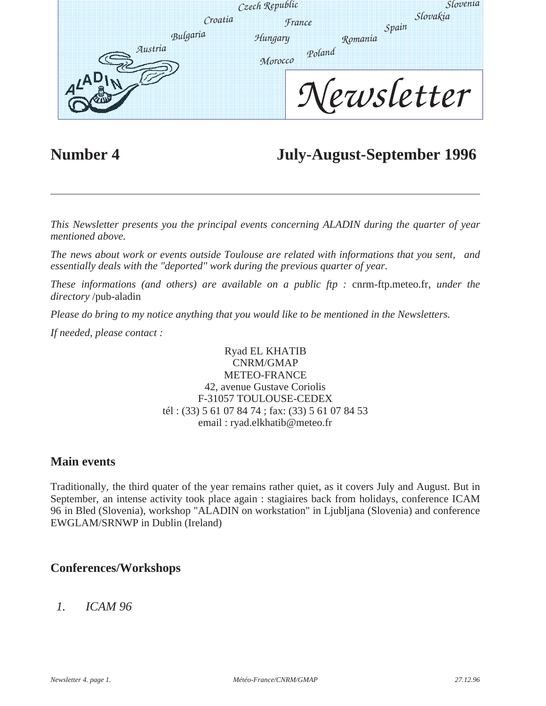|          | Czech Republic |                   |         | Slovenia        |  |
|----------|----------------|-------------------|---------|-----------------|--|
|          | Croatia        | France            | Spain   | <i>Slovakia</i> |  |
| Bulgaria |                | Hungary           | Romania |                 |  |
| Austria  |                | Poland<br>Могоссо |         |                 |  |
|          |                |                   |         | ewsletter       |  |
|          |                |                   |         |                 |  |

## **Number 4 July-August-September 1996**

*This Newsletter presents you the principal events concerning ALADIN during the quarter of year mentioned above.* 

*The news about work or events outside Toulouse are related with informations that you sent, and essentially deals with the "deported" work during the previous quarter of year.* 

*These informations (and others) are available on a public ftp :* cnrm-ftp.meteo.fr, *under the directory* /pub-aladin

*Please do bring to my notice anything that you would like to be mentioned in the Newsletters.*

*If needed, please contact :* 

#### Ryad EL KHATIB CNRM/GMAP METEO-FRANCE 42, avenue Gustave Coriolis F-31057 TOULOUSE-CEDEX tél : (33) 5 61 07 84 74 ; fax: (33) 5 61 07 84 53 email : ryad.elkhatib@meteo.fr

#### **Main events**

Traditionally, the third quater of the year remains rather quiet, as it covers July and August. But in September, an intense activity took place again : stagiaires back from holidays, conference ICAM 96 in Bled (Slovenia), workshop "ALADIN on workstation" in Ljubljana (Slovenia) and conference EWGLAM/SRNWP in Dublin (Ireland)

#### **Conferences/Workshops**

### *1. ICAM 96*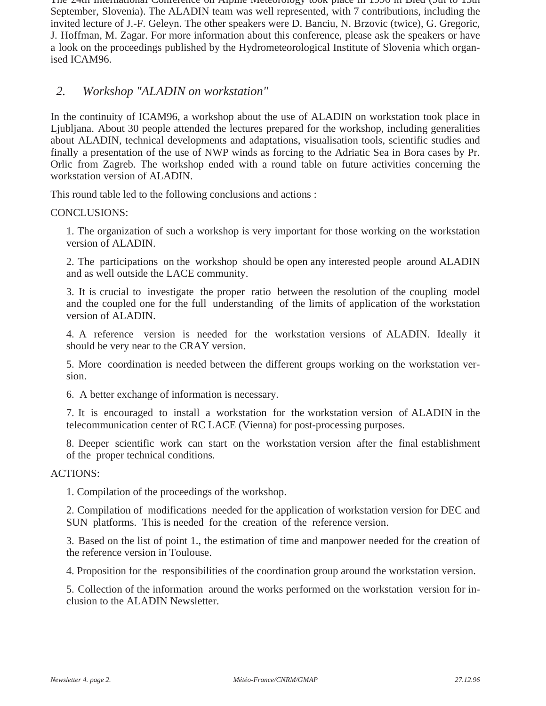The 24th International Conference on Alpine Meteorology took place in 1996 in Bled (9th to 13th September, Slovenia). The ALADIN team was well represented, with 7 contributions, including the invited lecture of J.-F. Geleyn. The other speakers were D. Banciu, N. Brzovic (twice), G. Gregoric, J. Hoffman, M. Zagar. For more information about this conference, please ask the speakers or have a look on the proceedings published by the Hydrometeorological Institute of Slovenia which organised ICAM96.

#### *2. Workshop "ALADIN on workstation"*

In the continuity of ICAM96, a workshop about the use of ALADIN on workstation took place in Ljubljana. About 30 people attended the lectures prepared for the workshop, including generalities about ALADIN, technical developments and adaptations, visualisation tools, scientific studies and finally a presentation of the use of NWP winds as forcing to the Adriatic Sea in Bora cases by Pr. Orlic from Zagreb. The workshop ended with a round table on future activities concerning the workstation version of ALADIN.

This round table led to the following conclusions and actions :

CONCLUSIONS:

1. The organization of such a workshop is very important for those working on the workstation version of ALADIN.

2. The participations on the workshop should be open any interested people around ALADIN and as well outside the LACE community.

3. It is crucial to investigate the proper ratio between the resolution of the coupling model and the coupled one for the full understanding of the limits of application of the workstation version of ALADIN.

4. A reference version is needed for the workstation versions of ALADIN. Ideally it should be very near to the CRAY version.

5. More coordination is needed between the different groups working on the workstation version.

6. A better exchange of information is necessary.

7. It is encouraged to install a workstation for the workstation version of ALADIN in the telecommunication center of RC LACE (Vienna) for post-processing purposes.

8. Deeper scientific work can start on the workstation version after the final establishment of the proper technical conditions.

ACTIONS:

1. Compilation of the proceedings of the workshop.

2. Compilation of modifications needed for the application of workstation version for DEC and SUN platforms. This is needed for the creation of the reference version.

3. Based on the list of point 1., the estimation of time and manpower needed for the creation of the reference version in Toulouse.

4. Proposition for the responsibilities of the coordination group around the workstation version.

5. Collection of the information around the works performed on the workstation version for inclusion to the ALADIN Newsletter.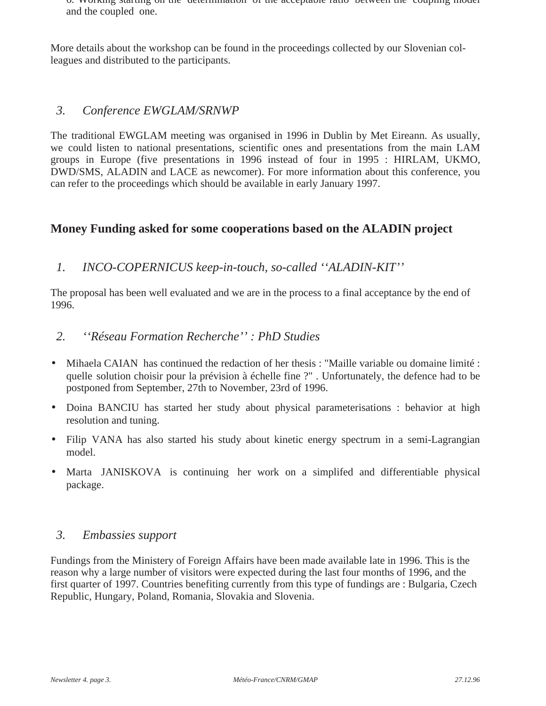6. Working starting on the determination of the acceptable ratio between the coupling model and the coupled one.

More details about the workshop can be found in the proceedings collected by our Slovenian colleagues and distributed to the participants.

#### *3. Conference EWGLAM/SRNWP*

The traditional EWGLAM meeting was organised in 1996 in Dublin by Met Eireann. As usually, we could listen to national presentations, scientific ones and presentations from the main LAM groups in Europe (five presentations in 1996 instead of four in 1995 : HIRLAM, UKMO, DWD/SMS, ALADIN and LACE as newcomer). For more information about this conference, you can refer to the proceedings which should be available in early January 1997.

#### **Money Funding asked for some cooperations based on the ALADIN project**

*1. INCO-COPERNICUS keep-in-touch, so-called ''ALADIN-KIT''*

The proposal has been well evaluated and we are in the process to a final acceptance by the end of 1996.

- *2. ''Réseau Formation Recherche'' : PhD Studies*
- Mihaela CAIAN has continued the redaction of her thesis : "Maille variable ou domaine limité : quelle solution choisir pour la prévision à échelle fine ?" . Unfortunately, the defence had to be postponed from September, 27th to November, 23rd of 1996.
- Doina BANCIU has started her study about physical parameterisations : behavior at high resolution and tuning.
- Filip VANA has also started his study about kinetic energy spectrum in a semi-Lagrangian model.
- Marta JANISKOVA is continuing her work on a simplifed and differentiable physical package.

#### *3. Embassies support*

Fundings from the Ministery of Foreign Affairs have been made available late in 1996. This is the reason why a large number of visitors were expected during the last four months of 1996, and the first quarter of 1997. Countries benefiting currently from this type of fundings are : Bulgaria, Czech Republic, Hungary, Poland, Romania, Slovakia and Slovenia.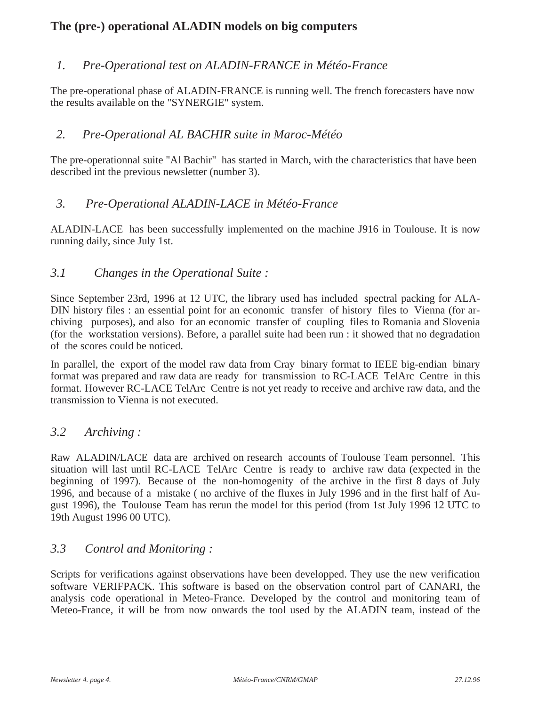### **The (pre-) operational ALADIN models on big computers**

#### *1. Pre-Operational test on ALADIN-FRANCE in Météo-France*

The pre-operational phase of ALADIN-FRANCE is running well. The french forecasters have now the results available on the "SYNERGIE" system.

#### *2. Pre-Operational AL BACHIR suite in Maroc-Météo*

The pre-operationnal suite "Al Bachir" has started in March, with the characteristics that have been described int the previous newsletter (number 3).

#### *3. Pre-Operational ALADIN-LACE in Météo-France*

ALADIN-LACE has been successfully implemented on the machine J916 in Toulouse. It is now running daily, since July 1st.

#### *3.1 Changes in the Operational Suite :*

Since September 23rd, 1996 at 12 UTC, the library used has included spectral packing for ALA-DIN history files : an essential point for an economic transfer of history files to Vienna (for archiving purposes), and also for an economic transfer of coupling files to Romania and Slovenia (for the workstation versions). Before, a parallel suite had been run : it showed that no degradation of the scores could be noticed.

In parallel, the export of the model raw data from Cray binary format to IEEE big-endian binary format was prepared and raw data are ready for transmission to RC-LACE TelArc Centre in this format. However RC-LACE TelArc Centre is not yet ready to receive and archive raw data, and the transmission to Vienna is not executed.

#### *3.2 Archiving :*

Raw ALADIN/LACE data are archived on research accounts of Toulouse Team personnel. This situation will last until RC-LACE TelArc Centre is ready to archive raw data (expected in the beginning of 1997). Because of the non-homogenity of the archive in the first 8 days of July 1996, and because of a mistake ( no archive of the fluxes in July 1996 and in the first half of August 1996), the Toulouse Team has rerun the model for this period (from 1st July 1996 12 UTC to 19th August 1996 00 UTC).

#### *3.3 Control and Monitoring :*

Scripts for verifications against observations have been developped. They use the new verification software VERIFPACK. This software is based on the observation control part of CANARI, the analysis code operational in Meteo-France. Developed by the control and monitoring team of Meteo-France, it will be from now onwards the tool used by the ALADIN team, instead of the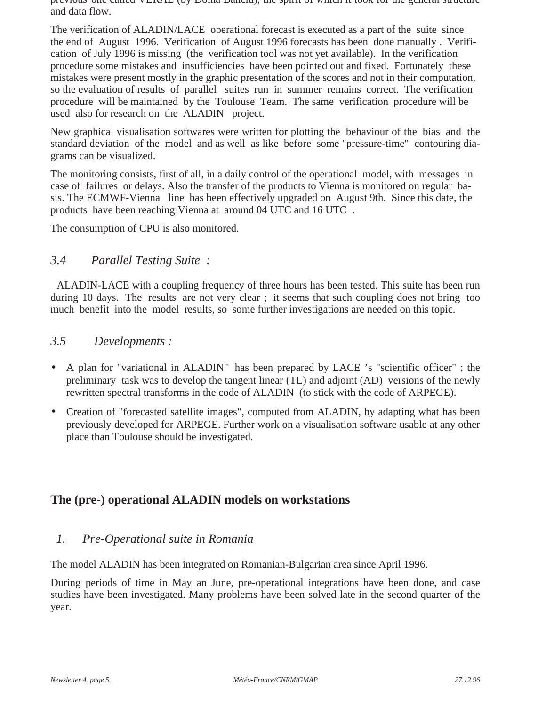previous one called VERAL (by Doina Banciu), the spirit of which it took for the general structure and data flow.

The verification of ALADIN/LACE operational forecast is executed as a part of the suite since the end of August 1996. Verification of August 1996 forecasts has been done manually . Verification of July 1996 is missing (the verification tool was not yet available). In the verification procedure some mistakes and insufficiencies have been pointed out and fixed. Fortunately these mistakes were present mostly in the graphic presentation of the scores and not in their computation, so the evaluation of results of parallel suites run in summer remains correct. The verification procedure will be maintained by the Toulouse Team. The same verification procedure will be used also for research on the ALADIN project.

New graphical visualisation softwares were written for plotting the behaviour of the bias and the standard deviation of the model and as well as like before some "pressure-time" contouring diagrams can be visualized.

The monitoring consists, first of all, in a daily control of the operational model, with messages in case of failures or delays. Also the transfer of the products to Vienna is monitored on regular basis. The ECMWF-Vienna line has been effectively upgraded on August 9th. Since this date, the products have been reaching Vienna at around 04 UTC and 16 UTC .

The consumption of CPU is also monitored.

#### *3.4 Parallel Testing Suite :*

ALADIN-LACE with a coupling frequency of three hours has been tested. This suite has been run during 10 days. The results are not very clear ; it seems that such coupling does not bring too much benefit into the model results, so some further investigations are needed on this topic.

#### *3.5 Developments :*

- A plan for "variational in ALADIN" has been prepared by LACE 's "scientific officer"; the preliminary task was to develop the tangent linear (TL) and adjoint (AD) versions of the newly rewritten spectral transforms in the code of ALADIN (to stick with the code of ARPEGE).
- Creation of "forecasted satellite images", computed from ALADIN, by adapting what has been previously developed for ARPEGE. Further work on a visualisation software usable at any other place than Toulouse should be investigated.

#### **The (pre-) operational ALADIN models on workstations**

#### *1. Pre-Operational suite in Romania*

The model ALADIN has been integrated on Romanian-Bulgarian area since April 1996.

During periods of time in May an June, pre-operational integrations have been done, and case studies have been investigated. Many problems have been solved late in the second quarter of the year.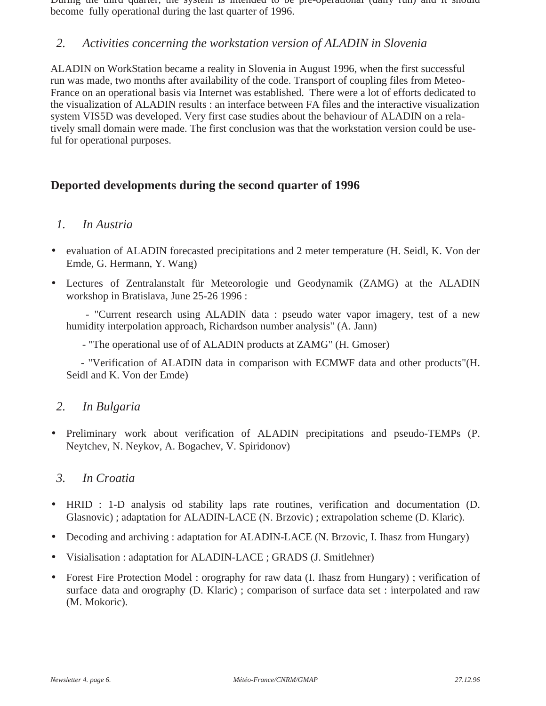During the third quarter, the system is intended to be pre-operational (daily run) and it should become fully operational during the last quarter of 1996.

#### *2. Activities concerning the workstation version of ALADIN in Slovenia*

ALADIN on WorkStation became a reality in Slovenia in August 1996, when the first successful run was made, two months after availability of the code. Transport of coupling files from Meteo-France on an operational basis via Internet was established. There were a lot of efforts dedicated to the visualization of ALADIN results : an interface between FA files and the interactive visualization system VIS5D was developed. Very first case studies about the behaviour of ALADIN on a relatively small domain were made. The first conclusion was that the workstation version could be useful for operational purposes.

#### **Deported developments during the second quarter of 1996**

#### *1. In Austria*

- evaluation of ALADIN forecasted precipitations and 2 meter temperature (H. Seidl, K. Von der Emde, G. Hermann, Y. Wang)
- Lectures of Zentralanstalt für Meteorologie und Geodynamik (ZAMG) at the ALADIN workshop in Bratislava, June 25-26 1996 :

 - "Current research using ALADIN data : pseudo water vapor imagery, test of a new humidity interpolation approach, Richardson number analysis" (A. Jann)

- "The operational use of of ALADIN products at ZAMG" (H. Gmoser)

 - "Verification of ALADIN data in comparison with ECMWF data and other products"(H. Seidl and K. Von der Emde)

#### *2. In Bulgaria*

• Preliminary work about verification of ALADIN precipitations and pseudo-TEMPs (P. Neytchev, N. Neykov, A. Bogachev, V. Spiridonov)

#### *3. In Croatia*

- HRID : 1-D analysis od stability laps rate routines, verification and documentation (D. Glasnovic) ; adaptation for ALADIN-LACE (N. Brzovic) ; extrapolation scheme (D. Klaric).
- Decoding and archiving : adaptation for ALADIN-LACE (N. Brzovic, I. Ihasz from Hungary)
- Visialisation : adaptation for ALADIN-LACE ; GRADS (J. Smitlehner)
- Forest Fire Protection Model : orography for raw data (I. Ihasz from Hungary) ; verification of surface data and orography (D. Klaric) ; comparison of surface data set : interpolated and raw (M. Mokoric).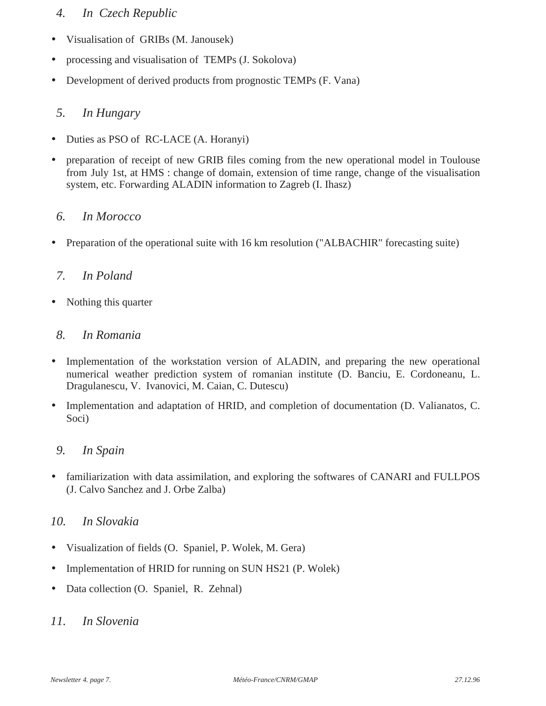#### *4. In Czech Republic*

- Visualisation of GRIBs (M. Janousek)
- processing and visualisation of TEMPs (J. Sokolova)
- Development of derived products from prognostic TEMPs (F. Vana)

#### *5. In Hungary*

- Duties as PSO of RC-LACE (A. Horanyi)
- preparation of receipt of new GRIB files coming from the new operational model in Toulouse from July 1st, at HMS : change of domain, extension of time range, change of the visualisation system, etc. Forwarding ALADIN information to Zagreb (I. Ihasz)

#### *6. In Morocco*

• Preparation of the operational suite with 16 km resolution ("ALBACHIR" forecasting suite)

#### *7. In Poland*

• Nothing this quarter

#### *8. In Romania*

- Implementation of the workstation version of ALADIN, and preparing the new operational numerical weather prediction system of romanian institute (D. Banciu, E. Cordoneanu, L. Dragulanescu, V. Ivanovici, M. Caian, C. Dutescu)
- Implementation and adaptation of HRID, and completion of documentation (D. Valianatos, C. Soci)

#### *9. In Spain*

• familiarization with data assimilation, and exploring the softwares of CANARI and FULLPOS (J. Calvo Sanchez and J. Orbe Zalba)

#### *10. In Slovakia*

- Visualization of fields (O. Spaniel, P. Wolek, M. Gera)
- Implementation of HRID for running on SUN HS21 (P. Wolek)
- Data collection (O. Spaniel, R. Zehnal)

#### *11. In Slovenia*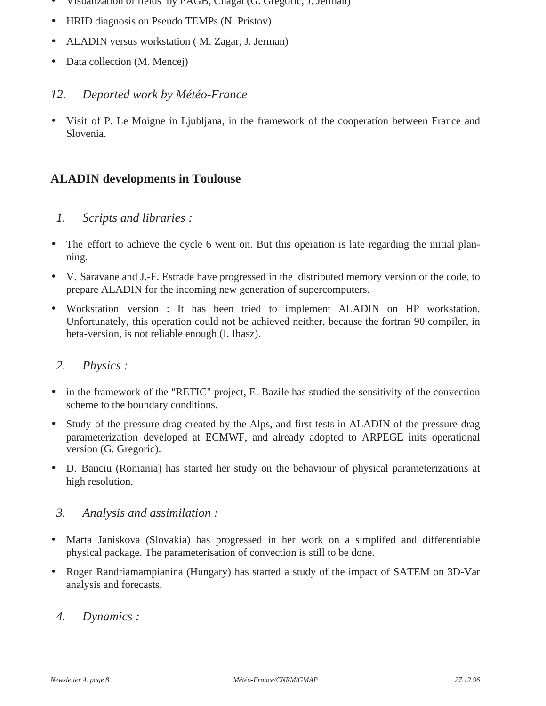- Visualization of fields by PAGB, Chagal (G. Gregoric, J. Jerman)
- HRID diagnosis on Pseudo TEMPs (N. Pristov)
- ALADIN versus workstation ( M. Zagar, J. Jerman)
- Data collection (M. Mencej)

#### *12. Deported work by Météo-France*

• Visit of P. Le Moigne in Ljubljana, in the framework of the cooperation between France and Slovenia.

#### **ALADIN developments in Toulouse**

#### *1. Scripts and libraries :*

- The effort to achieve the cycle 6 went on. But this operation is late regarding the initial planning.
- V. Saravane and J.-F. Estrade have progressed in the distributed memory version of the code, to prepare ALADIN for the incoming new generation of supercomputers.
- Workstation version : It has been tried to implement ALADIN on HP workstation. Unfortunately, this operation could not be achieved neither, because the fortran 90 compiler, in beta-version, is not reliable enough (I. Ihasz).

#### *2. Physics :*

- in the framework of the "RETIC" project, E. Bazile has studied the sensitivity of the convection scheme to the boundary conditions.
- Study of the pressure drag created by the Alps, and first tests in ALADIN of the pressure drag parameterization developed at ECMWF, and already adopted to ARPEGE inits operational version (G. Gregoric).
- D. Banciu (Romania) has started her study on the behaviour of physical parameterizations at high resolution.

#### *3. Analysis and assimilation :*

- Marta Janiskova (Slovakia) has progressed in her work on a simplifed and differentiable physical package. The parameterisation of convection is still to be done.
- Roger Randriamampianina (Hungary) has started a study of the impact of SATEM on 3D-Var analysis and forecasts.

#### *4. Dynamics :*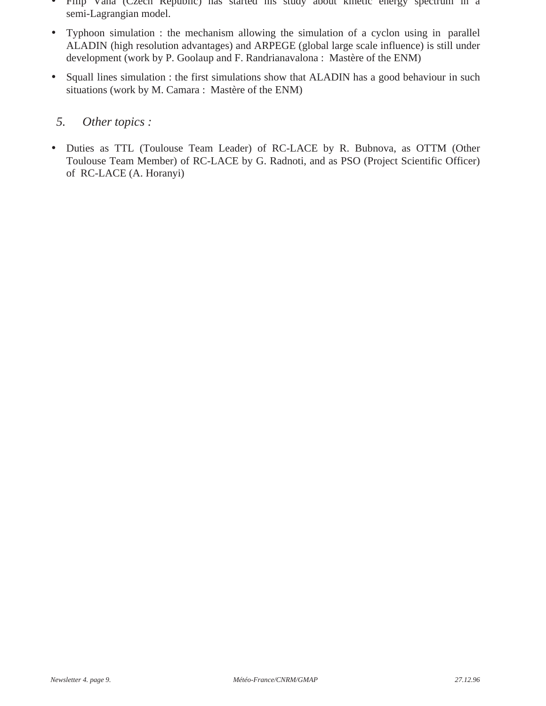- Filip Vana (Czech Republic) has started his study about kinetic energy spectrum in a semi-Lagrangian model.
- Typhoon simulation : the mechanism allowing the simulation of a cyclon using in parallel ALADIN (high resolution advantages) and ARPEGE (global large scale influence) is still under development (work by P. Goolaup and F. Randrianavalona : Mastère of the ENM)
- Squall lines simulation : the first simulations show that ALADIN has a good behaviour in such situations (work by M. Camara : Mastère of the ENM)

#### *5. Other topics :*

• Duties as TTL (Toulouse Team Leader) of RC-LACE by R. Bubnova, as OTTM (Other Toulouse Team Member) of RC-LACE by G. Radnoti, and as PSO (Project Scientific Officer) of RC-LACE (A. Horanyi)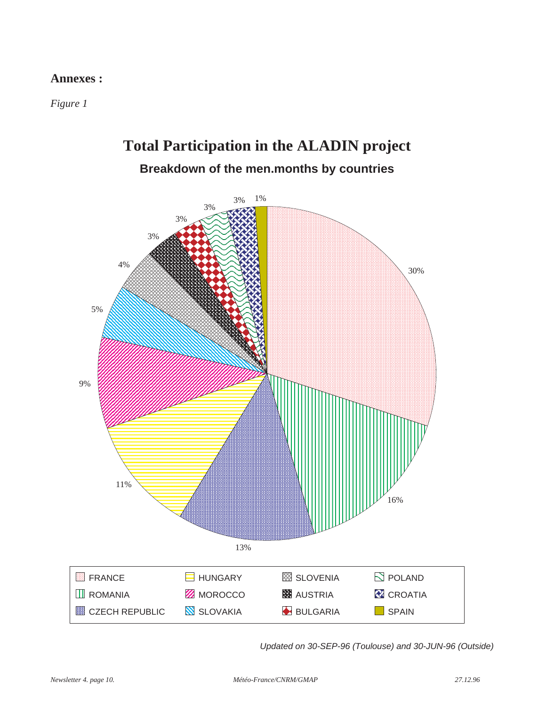#### **Annexes :**

*Figure 1*

# **Total Participation in the ALADIN project Breakdown of the men.months by countries**



Updated on 30-SEP-96 (Toulouse) and 30-JUN-96 (Outside)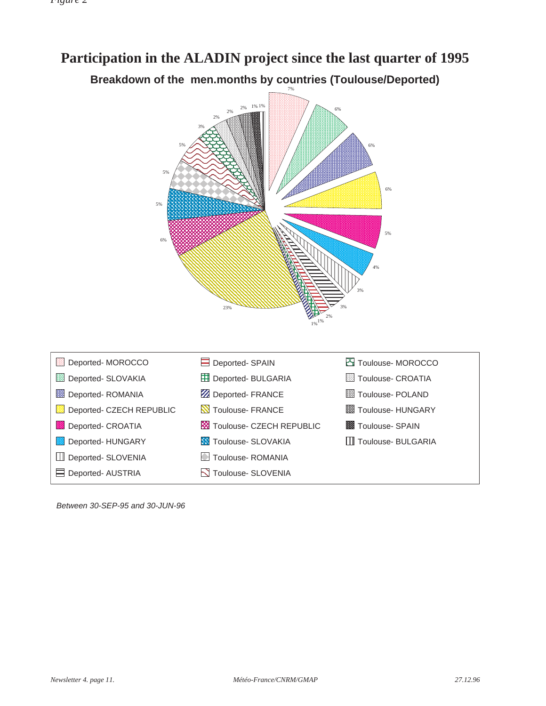#### 1% 1% 2% 2% 2% 3% 5% 6% 6% 7% **Participation in the ALADIN project since the last quarter of 1995 Breakdown of the men.months by countries (Toulouse/Deported)**

5%

6%



Between 30-SEP-95 and 30-JUN-96

5%

5%

6%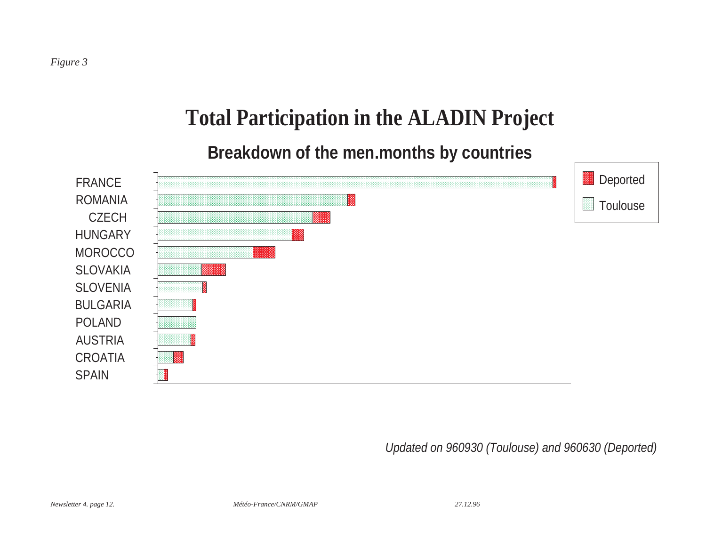# **Total Participation in the ALADIN Project**

# **Breakdown of the men.months by countries**



Updated on 960930 (Toulouse) and 960630 (Deported)